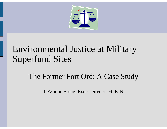

### Environmental Justice at Military Superfund Sites

### The Former Fort Ord: A Case Study

LeVonne Stone, Exec. Director FOEJN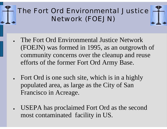### The Fort Ord Environmental Justice Network (FOEJN)

- ● The Fort Ord Environmental Justice Network (FOEJN) was formed in 1995, as an outgrowth of community concerns over the cleanup and reuse efforts of the former Fort Ord Army Base.
- ● Fort Ord is one such site, which is in a highly populated area, as large as the City of San Francisco in Acreage.
- ● USEPA has proclaimed Fort Ord as the second most contaminated facility in US.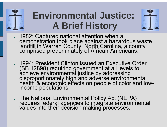# **Environmental Justice: A Brief History**



- 1982: Captured national attention when a 1992: Captured national attention when a<br>demonstration took place against a hazardous waste<br>landfill in Warren County, North Carolina, a county<br>comprised predominately of African-Americans.
- ● 1994: President Clinton issued an Executive Order (SB 12898) requiring government at all levels to achieve environmental justice by addressing disproportionately high and adverse environmental health & economic effects on people of color and low- income populations
- ●The National Environmental Policy Act (NEPA) requires federal agencies to integrate environmental values into their decision making processes.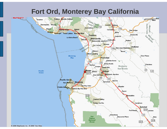### **Fort Ord, Monterey Bay California**

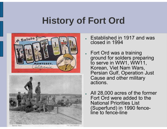# **History of Fort Ord**





- ● Established in 1917 and was closed in 1994
- Fort Ord was a training ground for solders preparing to serve in WW1, WW11, Korean, Viet Nam Wars, Persian Gulf, Operation Just Cause and other military actions.
- ● All 28,000 acres of the former Fort Ord were added to the National Priorities List (Superfund) in 1990 fence- line to fence-line

Fort Ord, California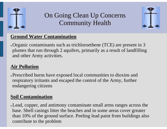

### On Going Clean Up Concerns Community Health



#### **Ground Water Contamination**

• Organic contaminants such as trichloroethene (TCE) are present in 3 plumes that run through 2 aquifers, primarily as a result of landfilling and other Army activities.

#### **Air Pollution**

. Prescribed burns have exposed local communities to dioxins and respiratory irritants and escaped the control of the Army, further endangering citizens

#### **Soil Contamination**

• Lead, copper, and antimony contaminate small arms ranges across the base. Shell casings litter the beaches and in some areas cover greater than 10% of the ground surface. Peeling lead paint from buildings also contribute to the problem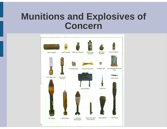### **Munitions and Explosives of Concern**

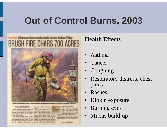# **Out of Control Burns, 2003**

#### Fort Ord: Afternoon blaze sends smoke across Salinas Valley **BRUSH FIRE CHARS 700 ACRES**



by M. GOINFIELD BORONE

all that time in Historian. pillonome of Dom | Donne

### **Health Effects**

- Asthma
- Cancer
- Coughing
- • Respiratory distress, chest pains
- •Rashes
- •Dioxin exposure
- Burning eyes
- •Mucus build-up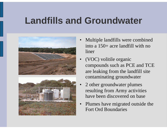# **Landfills and Groundwater**





- • Multiple landfills were combined into a 150+ acre landfill with no liner
- • (VOC) volitile organic compounds such as PCE and TCE are leaking from the landfill site contaminating groundwater
- • 2 other groundwater plumes resulting from Army activities have been discovered on base
- • Plumes have migrated outside the Fort Ord Boundaries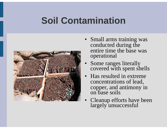# **Soil Contamination**



- Small arms training was conducted during the entire time the base was operational
- •Some ranges literally covered with spent shells
- • Has resulted in extreme concentrations of lead, copper, and antimony in on base soils
- •Cleanup efforts have been largely unsuccessful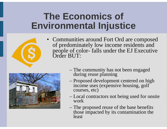## **The Economics of Environmental Injustice**

- 
- Communities around Fort Ord are composed of predominately low income residents and people of color- falls under the EJ Executive Order BUT:



- The community has not been engaged during reuse planning
- Proposed development centered on high income uses (expensive housing, golf)<br>courses, etc)
- Local contractors not being used for onsite work
- The proposed reuse of the base benefits those impacted by its contamination the least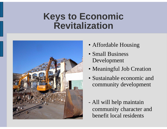### **Keys to Economic Revitalization**



- Affordable Housing
- Small Business Development
- Meaningful Job Creation
- Sustainable economic and community development
- All will help maintain community character and benefit local residents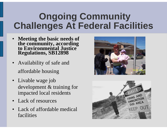# **Ongoing Community Challenges At Federal Facilities**

- Meeting the basic needs of **Meeting the basic needs of the community, according to Environmental Justice Regulations, SB12898**
- Availability of safe and affordable housing
- Livable wage job development & training for impacted local residents
- •Lack of resources
- • Lack of affordable medical facilities



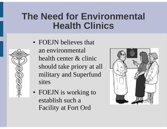### **The Need for Environmental Health Clinics**



• FOEJN believes that an environmental health center & clinic should take priory at all military and Superfund sites

• FOEJN is working to establish such a Facility at Fort Ord

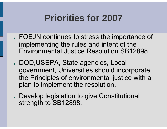# **Priorities for 2007**

- . FOEJN continues to stress the importance of implementing the rules and intent of the Environmental Justice Resolution SB12898
- DOD,USEPA, State agencies, Local government, Universities should incorporate the Principles of environmental justice with a plan to implement the resolution.
- . Develop legislation to give Constitutional strength to SB12898.